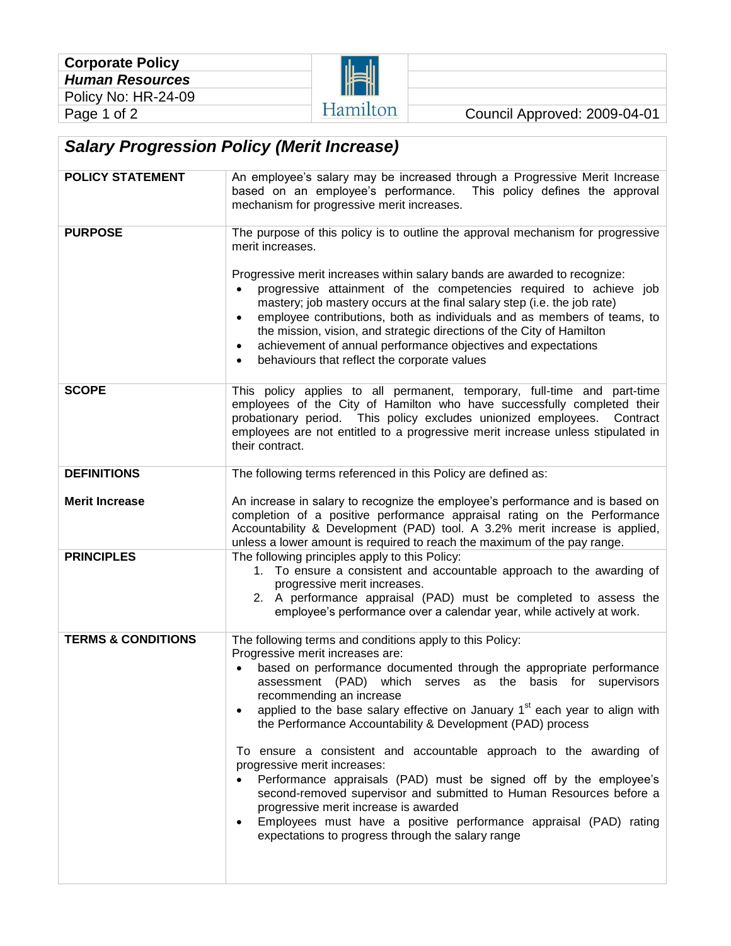H

Hamilton Council Approved: 2009-04-01

## *Salary Progression Policy (Merit Increase)*

| <b>POLICY STATEMENT</b>       | An employee's salary may be increased through a Progressive Merit Increase<br>based on an employee's performance. This policy defines the approval<br>mechanism for progressive merit increases.                                                                                                                                                                                                                                                                                                                                                                                                                                                                                                                                                                                                                                                             |  |  |  |
|-------------------------------|--------------------------------------------------------------------------------------------------------------------------------------------------------------------------------------------------------------------------------------------------------------------------------------------------------------------------------------------------------------------------------------------------------------------------------------------------------------------------------------------------------------------------------------------------------------------------------------------------------------------------------------------------------------------------------------------------------------------------------------------------------------------------------------------------------------------------------------------------------------|--|--|--|
| <b>PURPOSE</b>                | The purpose of this policy is to outline the approval mechanism for progressive<br>merit increases.<br>Progressive merit increases within salary bands are awarded to recognize:<br>progressive attainment of the competencies required to achieve job<br>mastery; job mastery occurs at the final salary step (i.e. the job rate)<br>employee contributions, both as individuals and as members of teams, to<br>$\bullet$<br>the mission, vision, and strategic directions of the City of Hamilton<br>achievement of annual performance objectives and expectations<br>$\bullet$<br>behaviours that reflect the corporate values<br>$\bullet$                                                                                                                                                                                                               |  |  |  |
| <b>SCOPE</b>                  | This policy applies to all permanent, temporary, full-time and part-time<br>employees of the City of Hamilton who have successfully completed their<br>probationary period. This policy excludes unionized employees. Contract<br>employees are not entitled to a progressive merit increase unless stipulated in<br>their contract.                                                                                                                                                                                                                                                                                                                                                                                                                                                                                                                         |  |  |  |
| <b>DEFINITIONS</b>            | The following terms referenced in this Policy are defined as:                                                                                                                                                                                                                                                                                                                                                                                                                                                                                                                                                                                                                                                                                                                                                                                                |  |  |  |
| <b>Merit Increase</b>         | An increase in salary to recognize the employee's performance and is based on<br>completion of a positive performance appraisal rating on the Performance<br>Accountability & Development (PAD) tool. A 3.2% merit increase is applied,<br>unless a lower amount is required to reach the maximum of the pay range.                                                                                                                                                                                                                                                                                                                                                                                                                                                                                                                                          |  |  |  |
| <b>PRINCIPLES</b>             | The following principles apply to this Policy:<br>1. To ensure a consistent and accountable approach to the awarding of<br>progressive merit increases.<br>2. A performance appraisal (PAD) must be completed to assess the<br>employee's performance over a calendar year, while actively at work.                                                                                                                                                                                                                                                                                                                                                                                                                                                                                                                                                          |  |  |  |
| <b>TERMS &amp; CONDITIONS</b> | The following terms and conditions apply to this Policy:<br>Progressive merit increases are:<br>based on performance documented through the appropriate performance<br>assessment (PAD) which<br>serves as<br>basis<br>for supervisors<br>the<br>recommending an increase<br>applied to the base salary effective on January 1 <sup>st</sup> each year to align with<br>the Performance Accountability & Development (PAD) process<br>To ensure a consistent and accountable approach to the awarding of<br>progressive merit increases:<br>Performance appraisals (PAD) must be signed off by the employee's<br>second-removed supervisor and submitted to Human Resources before a<br>progressive merit increase is awarded<br>Employees must have a positive performance appraisal (PAD) rating<br>٠<br>expectations to progress through the salary range |  |  |  |